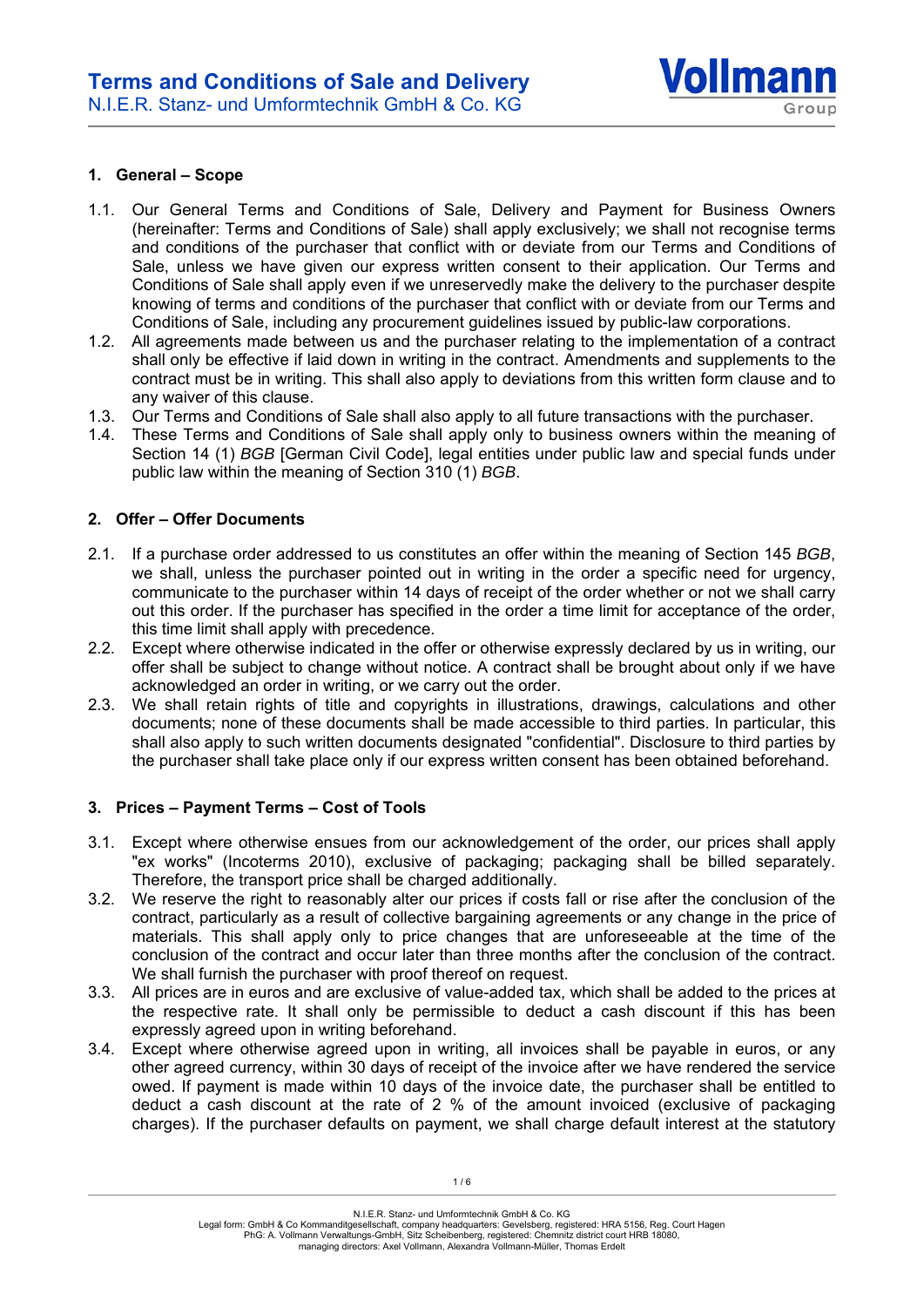

### **1. General – Scope**

- 1.1. Our General Terms and Conditions of Sale, Delivery and Payment for Business Owners (hereinafter: Terms and Conditions of Sale) shall apply exclusively; we shall not recognise terms and conditions of the purchaser that conflict with or deviate from our Terms and Conditions of Sale, unless we have given our express written consent to their application. Our Terms and Conditions of Sale shall apply even if we unreservedly make the delivery to the purchaser despite knowing of terms and conditions of the purchaser that conflict with or deviate from our Terms and Conditions of Sale, including any procurement guidelines issued by public-law corporations.
- 1.2. All agreements made between us and the purchaser relating to the implementation of a contract shall only be effective if laid down in writing in the contract. Amendments and supplements to the contract must be in writing. This shall also apply to deviations from this written form clause and to any waiver of this clause.
- 1.3. Our Terms and Conditions of Sale shall also apply to all future transactions with the purchaser.
- 1.4. These Terms and Conditions of Sale shall apply only to business owners within the meaning of Section 14 (1) *BGB* [German Civil Code], legal entities under public law and special funds under public law within the meaning of Section 310 (1) *BGB*.

# **2. Offer – Offer Documents**

- 2.1. If a purchase order addressed to us constitutes an offer within the meaning of Section 145 *BGB*, we shall, unless the purchaser pointed out in writing in the order a specific need for urgency, communicate to the purchaser within 14 days of receipt of the order whether or not we shall carry out this order. If the purchaser has specified in the order a time limit for acceptance of the order, this time limit shall apply with precedence.
- 2.2. Except where otherwise indicated in the offer or otherwise expressly declared by us in writing, our offer shall be subject to change without notice. A contract shall be brought about only if we have acknowledged an order in writing, or we carry out the order.
- 2.3. We shall retain rights of title and copyrights in illustrations, drawings, calculations and other documents; none of these documents shall be made accessible to third parties. In particular, this shall also apply to such written documents designated "confidential". Disclosure to third parties by the purchaser shall take place only if our express written consent has been obtained beforehand.

### **3. Prices – Payment Terms – Cost of Tools**

- 3.1. Except where otherwise ensues from our acknowledgement of the order, our prices shall apply "ex works" (Incoterms 2010), exclusive of packaging; packaging shall be billed separately. Therefore, the transport price shall be charged additionally.
- 3.2. We reserve the right to reasonably alter our prices if costs fall or rise after the conclusion of the contract, particularly as a result of collective bargaining agreements or any change in the price of materials. This shall apply only to price changes that are unforeseeable at the time of the conclusion of the contract and occur later than three months after the conclusion of the contract. We shall furnish the purchaser with proof thereof on request.
- 3.3. All prices are in euros and are exclusive of value-added tax, which shall be added to the prices at the respective rate. It shall only be permissible to deduct a cash discount if this has been expressly agreed upon in writing beforehand.
- 3.4. Except where otherwise agreed upon in writing, all invoices shall be payable in euros, or any other agreed currency, within 30 days of receipt of the invoice after we have rendered the service owed. If payment is made within 10 days of the invoice date, the purchaser shall be entitled to deduct a cash discount at the rate of 2 % of the amount invoiced (exclusive of packaging charges). If the purchaser defaults on payment, we shall charge default interest at the statutory

N.I.E.R. Stanz- und Umformtechnik GmbH & Co. KG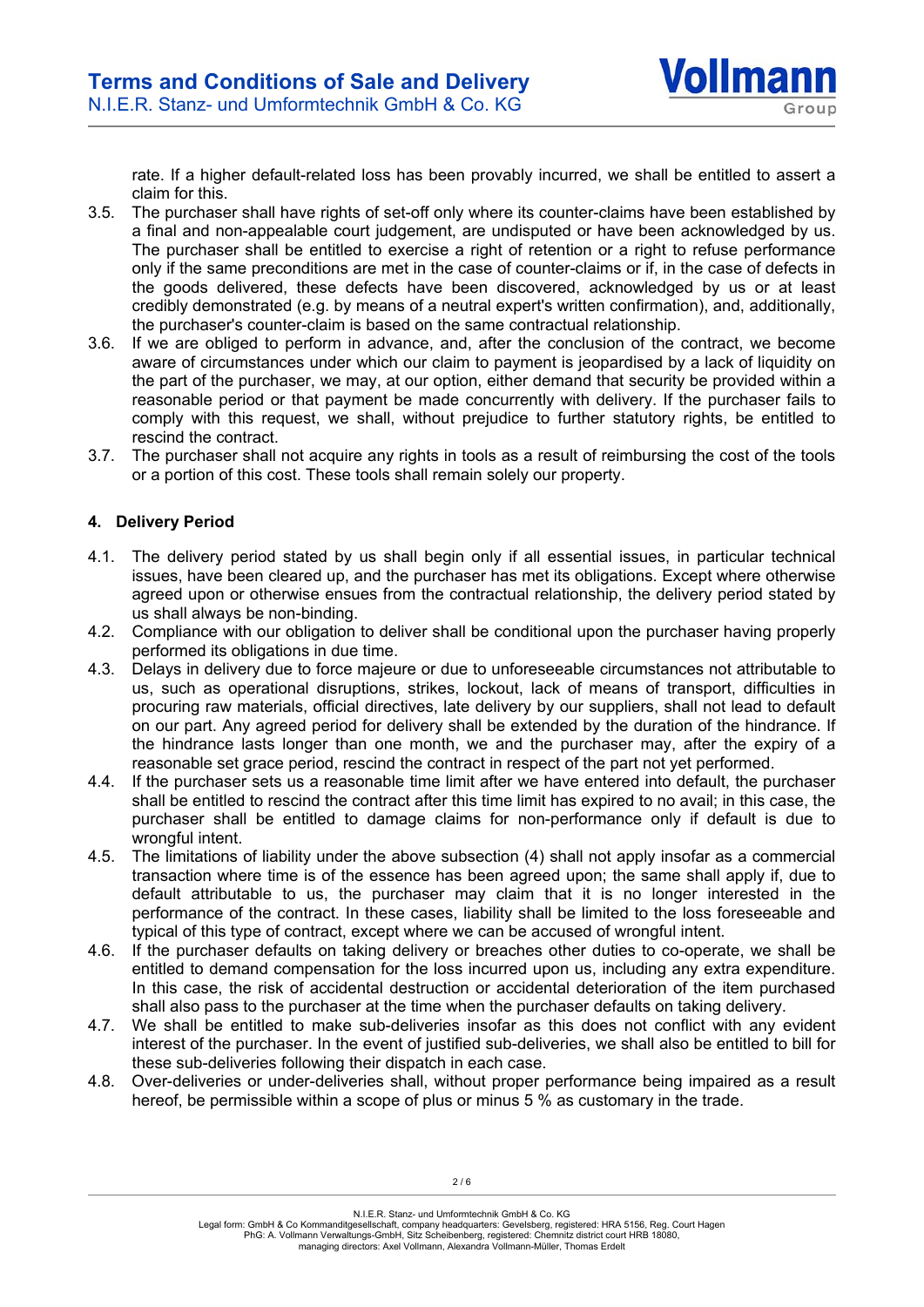rate. If a higher default-related loss has been provably incurred, we shall be entitled to assert a claim for this.

- 3.5. The purchaser shall have rights of set-off only where its counter-claims have been established by a final and non-appealable court judgement, are undisputed or have been acknowledged by us. The purchaser shall be entitled to exercise a right of retention or a right to refuse performance only if the same preconditions are met in the case of counter-claims or if, in the case of defects in the goods delivered, these defects have been discovered, acknowledged by us or at least credibly demonstrated (e.g. by means of a neutral expert's written confirmation), and, additionally, the purchaser's counter-claim is based on the same contractual relationship.
- 3.6. If we are obliged to perform in advance, and, after the conclusion of the contract, we become aware of circumstances under which our claim to payment is jeopardised by a lack of liquidity on the part of the purchaser, we may, at our option, either demand that security be provided within a reasonable period or that payment be made concurrently with delivery. If the purchaser fails to comply with this request, we shall, without prejudice to further statutory rights, be entitled to rescind the contract.
- 3.7. The purchaser shall not acquire any rights in tools as a result of reimbursing the cost of the tools or a portion of this cost. These tools shall remain solely our property.

# **4. Delivery Period**

- 4.1. The delivery period stated by us shall begin only if all essential issues, in particular technical issues, have been cleared up, and the purchaser has met its obligations. Except where otherwise agreed upon or otherwise ensues from the contractual relationship, the delivery period stated by us shall always be non-binding.
- 4.2. Compliance with our obligation to deliver shall be conditional upon the purchaser having properly performed its obligations in due time.
- 4.3. Delays in delivery due to force majeure or due to unforeseeable circumstances not attributable to us, such as operational disruptions, strikes, lockout, lack of means of transport, difficulties in procuring raw materials, official directives, late delivery by our suppliers, shall not lead to default on our part. Any agreed period for delivery shall be extended by the duration of the hindrance. If the hindrance lasts longer than one month, we and the purchaser may, after the expiry of a reasonable set grace period, rescind the contract in respect of the part not yet performed.
- 4.4. If the purchaser sets us a reasonable time limit after we have entered into default, the purchaser shall be entitled to rescind the contract after this time limit has expired to no avail; in this case, the purchaser shall be entitled to damage claims for non-performance only if default is due to wrongful intent.
- 4.5. The limitations of liability under the above subsection (4) shall not apply insofar as a commercial transaction where time is of the essence has been agreed upon; the same shall apply if, due to default attributable to us, the purchaser may claim that it is no longer interested in the performance of the contract. In these cases, liability shall be limited to the loss foreseeable and typical of this type of contract, except where we can be accused of wrongful intent.
- 4.6. If the purchaser defaults on taking delivery or breaches other duties to co-operate, we shall be entitled to demand compensation for the loss incurred upon us, including any extra expenditure. In this case, the risk of accidental destruction or accidental deterioration of the item purchased shall also pass to the purchaser at the time when the purchaser defaults on taking delivery.
- 4.7. We shall be entitled to make sub-deliveries insofar as this does not conflict with any evident interest of the purchaser. In the event of justified sub-deliveries, we shall also be entitled to bill for these sub-deliveries following their dispatch in each case.
- 4.8. Over-deliveries or under-deliveries shall, without proper performance being impaired as a result hereof, be permissible within a scope of plus or minus 5 % as customary in the trade.

N.I.E.R. Stanz- und Umformtechnik GmbH & Co. KG

Legal form: GmbH & Co Kommanditgesellschaft, company headquarters: Gevelsberg, registered: HRA 5156, Reg. Court Hagen PhG: A. Vollmann Verwaltungs-GmbH, Sitz Scheibenberg, registered: Chemnitz district court HRB 18080, managing directors: Axel Vollmann, Alexandra Vollmann-Müller, Thomas Erdelt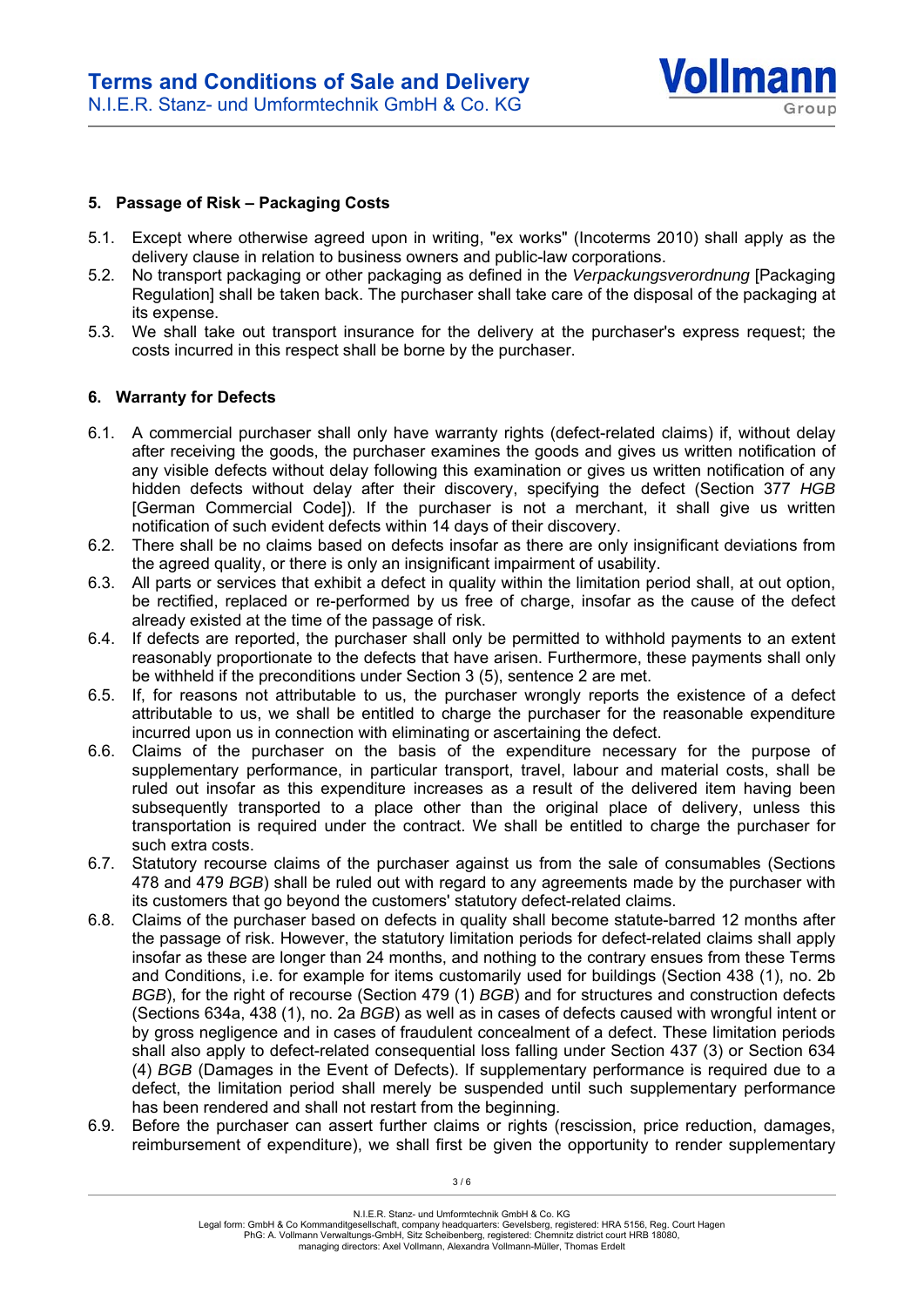

### **5. Passage of Risk – Packaging Costs**

- 5.1. Except where otherwise agreed upon in writing, "ex works" (Incoterms 2010) shall apply as the delivery clause in relation to business owners and public-law corporations.
- 5.2. No transport packaging or other packaging as defined in the *Verpackungsverordnung* [Packaging Regulation] shall be taken back. The purchaser shall take care of the disposal of the packaging at its expense.
- 5.3. We shall take out transport insurance for the delivery at the purchaser's express request; the costs incurred in this respect shall be borne by the purchaser.

### **6. Warranty for Defects**

- 6.1. A commercial purchaser shall only have warranty rights (defect-related claims) if, without delay after receiving the goods, the purchaser examines the goods and gives us written notification of any visible defects without delay following this examination or gives us written notification of any hidden defects without delay after their discovery, specifying the defect (Section 377 *HGB* [German Commercial Code]). If the purchaser is not a merchant, it shall give us written notification of such evident defects within 14 days of their discovery.
- 6.2. There shall be no claims based on defects insofar as there are only insignificant deviations from the agreed quality, or there is only an insignificant impairment of usability.
- 6.3. All parts or services that exhibit a defect in quality within the limitation period shall, at out option, be rectified, replaced or re-performed by us free of charge, insofar as the cause of the defect already existed at the time of the passage of risk.
- 6.4. If defects are reported, the purchaser shall only be permitted to withhold payments to an extent reasonably proportionate to the defects that have arisen. Furthermore, these payments shall only be withheld if the preconditions under Section 3 (5), sentence 2 are met.
- 6.5. If, for reasons not attributable to us, the purchaser wrongly reports the existence of a defect attributable to us, we shall be entitled to charge the purchaser for the reasonable expenditure incurred upon us in connection with eliminating or ascertaining the defect.
- 6.6. Claims of the purchaser on the basis of the expenditure necessary for the purpose of supplementary performance, in particular transport, travel, labour and material costs, shall be ruled out insofar as this expenditure increases as a result of the delivered item having been subsequently transported to a place other than the original place of delivery, unless this transportation is required under the contract. We shall be entitled to charge the purchaser for such extra costs.
- 6.7. Statutory recourse claims of the purchaser against us from the sale of consumables (Sections 478 and 479 *BGB*) shall be ruled out with regard to any agreements made by the purchaser with its customers that go beyond the customers' statutory defect-related claims.
- 6.8. Claims of the purchaser based on defects in quality shall become statute-barred 12 months after the passage of risk. However, the statutory limitation periods for defect-related claims shall apply insofar as these are longer than 24 months, and nothing to the contrary ensues from these Terms and Conditions, i.e. for example for items customarily used for buildings (Section 438 (1), no. 2b *BGB*), for the right of recourse (Section 479 (1) *BGB*) and for structures and construction defects (Sections 634a, 438 (1), no. 2a *BGB*) as well as in cases of defects caused with wrongful intent or by gross negligence and in cases of fraudulent concealment of a defect. These limitation periods shall also apply to defect-related consequential loss falling under Section 437 (3) or Section 634 (4) *BGB* (Damages in the Event of Defects). If supplementary performance is required due to a defect, the limitation period shall merely be suspended until such supplementary performance has been rendered and shall not restart from the beginning.
- 6.9. Before the purchaser can assert further claims or rights (rescission, price reduction, damages, reimbursement of expenditure), we shall first be given the opportunity to render supplementary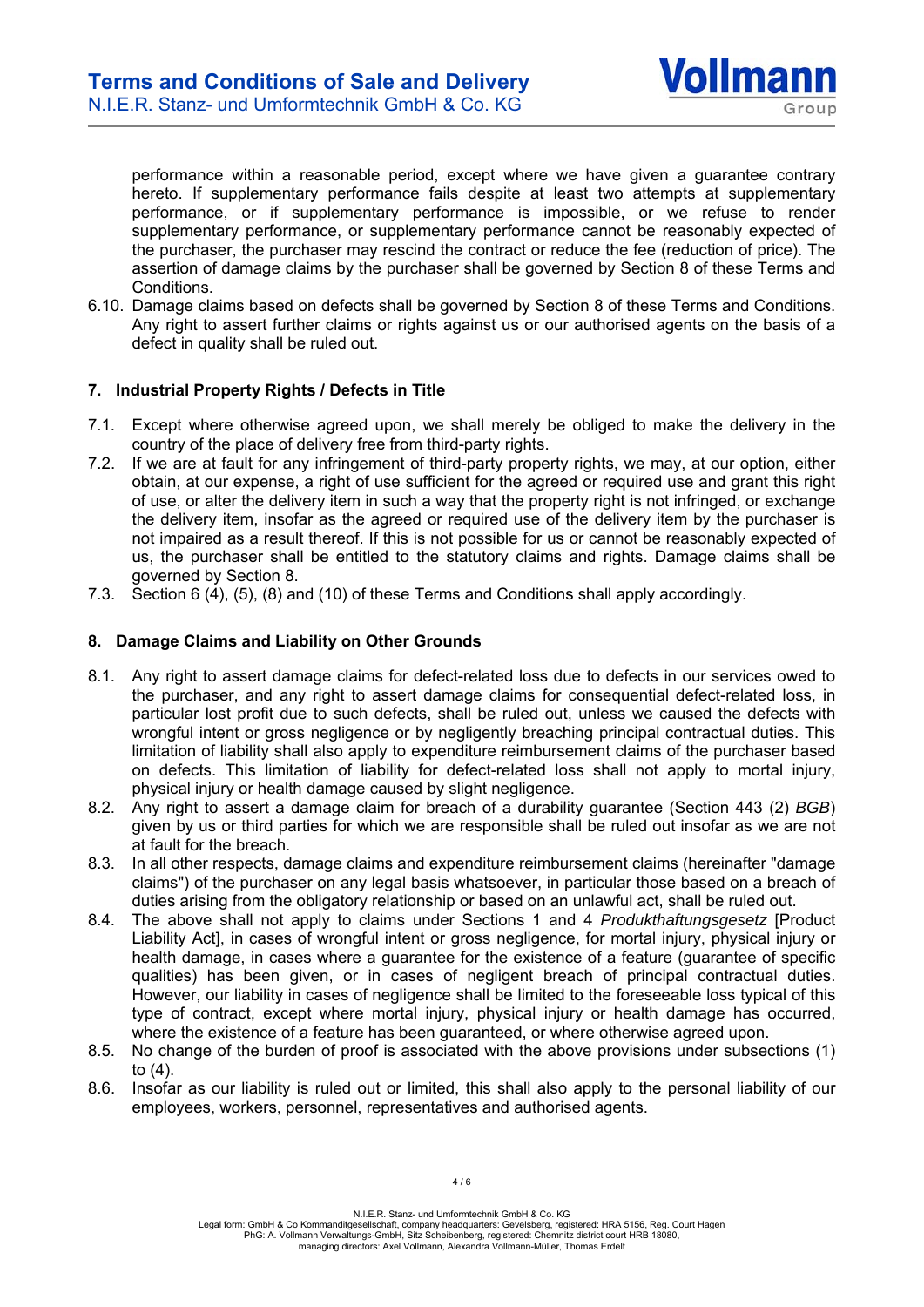

performance within a reasonable period, except where we have given a guarantee contrary hereto. If supplementary performance fails despite at least two attempts at supplementary performance, or if supplementary performance is impossible, or we refuse to render supplementary performance, or supplementary performance cannot be reasonably expected of the purchaser, the purchaser may rescind the contract or reduce the fee (reduction of price). The assertion of damage claims by the purchaser shall be governed by Section 8 of these Terms and Conditions.

6.10. Damage claims based on defects shall be governed by Section 8 of these Terms and Conditions. Any right to assert further claims or rights against us or our authorised agents on the basis of a defect in quality shall be ruled out.

# **7. Industrial Property Rights / Defects in Title**

- 7.1. Except where otherwise agreed upon, we shall merely be obliged to make the delivery in the country of the place of delivery free from third-party rights.
- 7.2. If we are at fault for any infringement of third-party property rights, we may, at our option, either obtain, at our expense, a right of use sufficient for the agreed or required use and grant this right of use, or alter the delivery item in such a way that the property right is not infringed, or exchange the delivery item, insofar as the agreed or required use of the delivery item by the purchaser is not impaired as a result thereof. If this is not possible for us or cannot be reasonably expected of us, the purchaser shall be entitled to the statutory claims and rights. Damage claims shall be governed by Section 8.
- 7.3. Section 6 (4), (5), (8) and (10) of these Terms and Conditions shall apply accordingly.

# **8. Damage Claims and Liability on Other Grounds**

- 8.1. Any right to assert damage claims for defect-related loss due to defects in our services owed to the purchaser, and any right to assert damage claims for consequential defect-related loss, in particular lost profit due to such defects, shall be ruled out, unless we caused the defects with wrongful intent or gross negligence or by negligently breaching principal contractual duties. This limitation of liability shall also apply to expenditure reimbursement claims of the purchaser based on defects. This limitation of liability for defect-related loss shall not apply to mortal injury, physical injury or health damage caused by slight negligence.
- 8.2. Any right to assert a damage claim for breach of a durability guarantee (Section 443 (2) *BGB*) given by us or third parties for which we are responsible shall be ruled out insofar as we are not at fault for the breach.
- 8.3. In all other respects, damage claims and expenditure reimbursement claims (hereinafter "damage claims") of the purchaser on any legal basis whatsoever, in particular those based on a breach of duties arising from the obligatory relationship or based on an unlawful act, shall be ruled out.
- 8.4. The above shall not apply to claims under Sections 1 and 4 *Produkthaftungsgesetz* [Product Liability Act], in cases of wrongful intent or gross negligence, for mortal injury, physical injury or health damage, in cases where a guarantee for the existence of a feature (guarantee of specific qualities) has been given, or in cases of negligent breach of principal contractual duties. However, our liability in cases of negligence shall be limited to the foreseeable loss typical of this type of contract, except where mortal injury, physical injury or health damage has occurred, where the existence of a feature has been guaranteed, or where otherwise agreed upon.
- 8.5. No change of the burden of proof is associated with the above provisions under subsections (1) to (4).
- 8.6. Insofar as our liability is ruled out or limited, this shall also apply to the personal liability of our employees, workers, personnel, representatives and authorised agents.

N.I.E.R. Stanz- und Umformtechnik GmbH & Co. KG

Legal form: GmbH & Co Kommanditgesellschaft, company headquarters: Gevelsberg, registered: HRA 5156, Reg. Court Hagen PhG: A. Vollmann Verwaltungs-GmbH, Sitz Scheibenberg, registered: Chemnitz district court HRB 18080, managing directors: Axel Vollmann, Alexandra Vollmann-Müller, Thomas Erdelt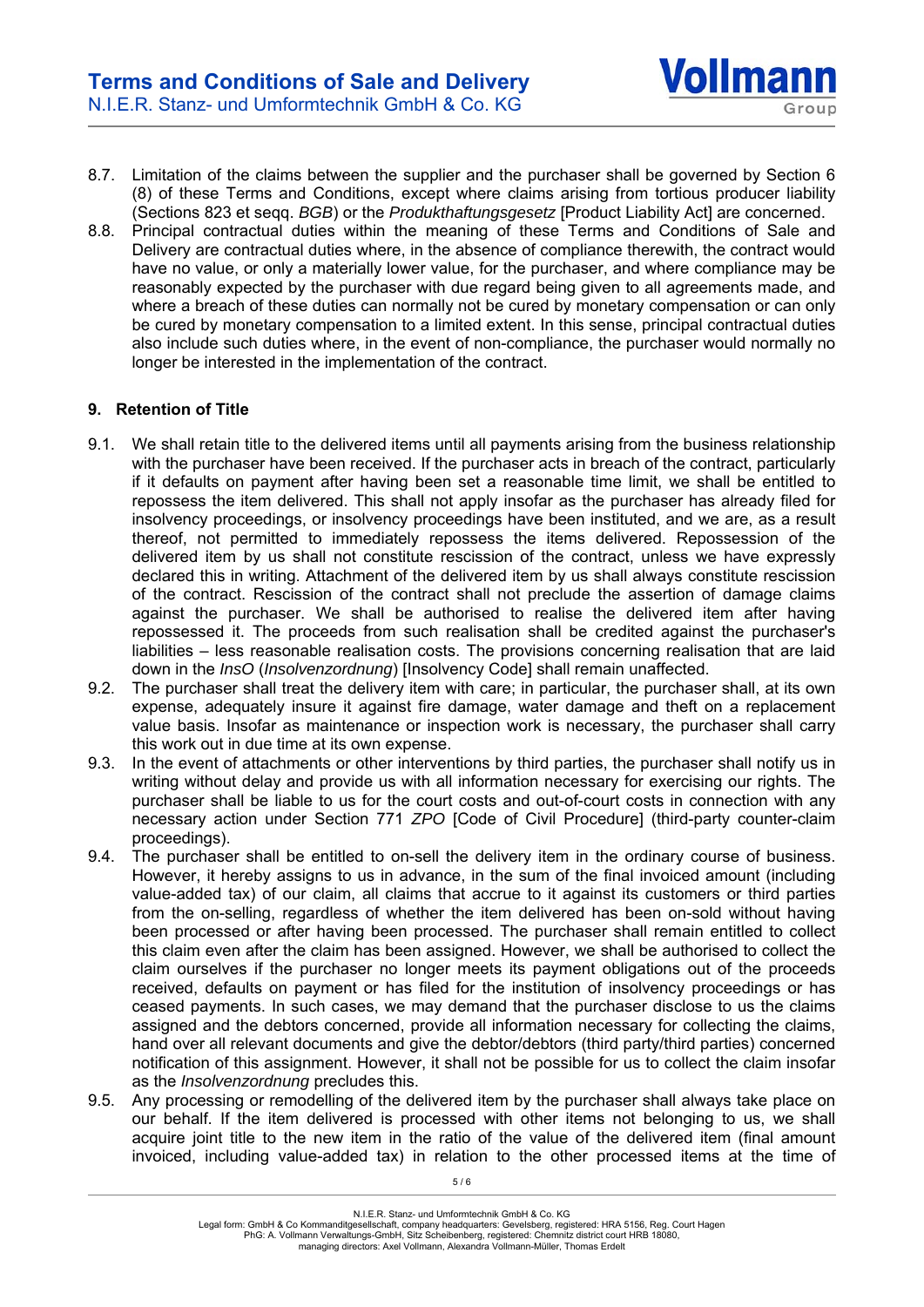8.7. Limitation of the claims between the supplier and the purchaser shall be governed by Section 6 (8) of these Terms and Conditions, except where claims arising from tortious producer liability (Sections 823 et seqq. *BGB*) or the *Produkthaftungsgesetz* [Product Liability Act] are concerned.

**Vollmann** 

Group

8.8. Principal contractual duties within the meaning of these Terms and Conditions of Sale and Delivery are contractual duties where, in the absence of compliance therewith, the contract would have no value, or only a materially lower value, for the purchaser, and where compliance may be reasonably expected by the purchaser with due regard being given to all agreements made, and where a breach of these duties can normally not be cured by monetary compensation or can only be cured by monetary compensation to a limited extent. In this sense, principal contractual duties also include such duties where, in the event of non-compliance, the purchaser would normally no longer be interested in the implementation of the contract.

# **9. Retention of Title**

- 9.1. We shall retain title to the delivered items until all payments arising from the business relationship with the purchaser have been received. If the purchaser acts in breach of the contract, particularly if it defaults on payment after having been set a reasonable time limit, we shall be entitled to repossess the item delivered. This shall not apply insofar as the purchaser has already filed for insolvency proceedings, or insolvency proceedings have been instituted, and we are, as a result thereof, not permitted to immediately repossess the items delivered. Repossession of the delivered item by us shall not constitute rescission of the contract, unless we have expressly declared this in writing. Attachment of the delivered item by us shall always constitute rescission of the contract. Rescission of the contract shall not preclude the assertion of damage claims against the purchaser. We shall be authorised to realise the delivered item after having repossessed it. The proceeds from such realisation shall be credited against the purchaser's liabilities – less reasonable realisation costs. The provisions concerning realisation that are laid down in the *InsO* (*Insolvenzordnung*) [Insolvency Code] shall remain unaffected.
- 9.2. The purchaser shall treat the delivery item with care; in particular, the purchaser shall, at its own expense, adequately insure it against fire damage, water damage and theft on a replacement value basis. Insofar as maintenance or inspection work is necessary, the purchaser shall carry this work out in due time at its own expense.
- 9.3. In the event of attachments or other interventions by third parties, the purchaser shall notify us in writing without delay and provide us with all information necessary for exercising our rights. The purchaser shall be liable to us for the court costs and out-of-court costs in connection with any necessary action under Section 771 *ZPO* [Code of Civil Procedure] (third-party counter-claim proceedings).
- 9.4. The purchaser shall be entitled to on-sell the delivery item in the ordinary course of business. However, it hereby assigns to us in advance, in the sum of the final invoiced amount (including value-added tax) of our claim, all claims that accrue to it against its customers or third parties from the on-selling, regardless of whether the item delivered has been on-sold without having been processed or after having been processed. The purchaser shall remain entitled to collect this claim even after the claim has been assigned. However, we shall be authorised to collect the claim ourselves if the purchaser no longer meets its payment obligations out of the proceeds received, defaults on payment or has filed for the institution of insolvency proceedings or has ceased payments. In such cases, we may demand that the purchaser disclose to us the claims assigned and the debtors concerned, provide all information necessary for collecting the claims, hand over all relevant documents and give the debtor/debtors (third party/third parties) concerned notification of this assignment. However, it shall not be possible for us to collect the claim insofar as the *Insolvenzordnung* precludes this.
- 9.5. Any processing or remodelling of the delivered item by the purchaser shall always take place on our behalf. If the item delivered is processed with other items not belonging to us, we shall acquire joint title to the new item in the ratio of the value of the delivered item (final amount invoiced, including value-added tax) in relation to the other processed items at the time of

5 / 6